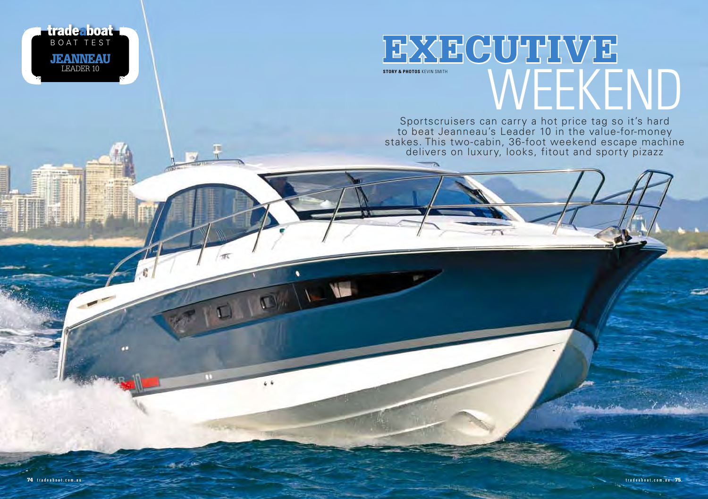

Sportscruisers can carry a hot price tag so it's hard to beat Jeanneau's Leader 10 in the value-for-money stakes. This two-cabin, 36-foot weekend escape machine delivers on luxury, looks, fitout and sporty pizazz

**trade boat I**<br>BOAT TEST

JEANNEAU <u>LEADER</u> 10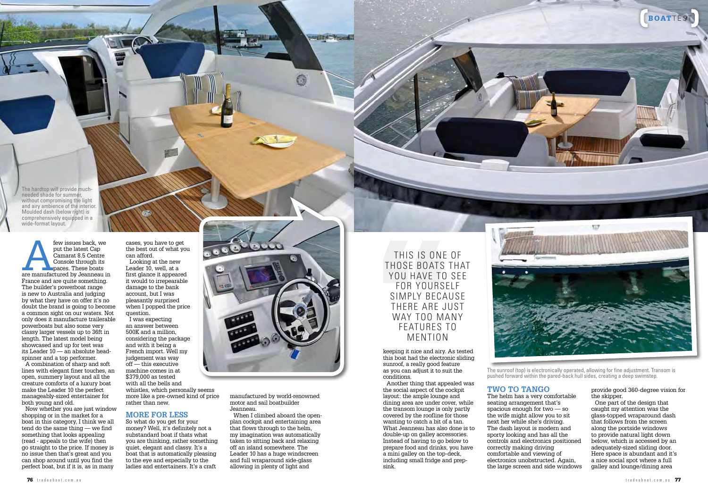The hardtop will provide muchneeded shade for summer, without compromising the light and airy ambience of the interior. Moulded dash (below right) is comprehensively equipped in a wide-format layout.

few issues back, we<br>
put the latest Cap<br>
Camarat 8.5 Centre<br>
Console through its<br>
paces. These boats<br>
are manufactured by Jeanneau in put the latest Cap Camarat 8.5 Centre Console through its paces. These boats France and are quite something. The builder's powerboat range is new to Australia and judging by what they have on offer it's no doubt the brand is going to become a common sight on our waters. Not only does it manufacture trailerable powerboats but also some very classy larger vessels up to 36ft in length. The latest model being showcased and up for test was its Leader 10 — an absolute headspinner and a top performer. A combination of sharp and soft lines with elegant finer touches, an open, summery layout and all the creature comforts of a luxury boat make the Leader 10 the perfect manageably-sized entertainer for both young and old.

Now whether you are just window shopping or in the market for a boat in this category, I think we all tend do the same thing — we find something that looks appealing (read - appeals to the wife) then go straight to the price. If money is no issue then that's great and you can shop around until you find the perfect boat, but if it is, as in many

cases, you have to get the best out of what you can afford. Looking at the new Leader 10, well, at a first glance it appeared it would to irrepearable damage to the bank account, but I was pleasantly surprised when I popped the price question.

I was expecting an answer between 500K and a million, considering the package and with it being a French import. Well my judgement was way off — this executive machine comes in at \$379,000 as tested with all the bells and whistles, which personally seems more like a pre-owned kind of price rather than new.

### **MORE FOR LESS**

So what do you get for your money? Well, it's definitely not a substandard boat if thats what you are thinking, rather something quiet, elegant and classy. It's a boat that is automatically pleasing to the eye and especially to the ladies and entertainers. It's a craft



Aug 17 a Company

manufactured by world-renowned motor and sail boatbuilder Jeanneau. When I climbed aboard the openplan cockpit and entertaining area that flows through to the helm, my imagination was automatically taken to sitting back and relaxing off an island somewhere. The Leader 10 has a huge windscreen and full wraparound side-glass allowing in plenty of light and

This is one of those boats that YOU HAVE TO SEE for yourself simply because THERE ARE JUST way too many features to MENTION

keeping it nice and airy. As tested this boat had the electronic sliding sunroof, a really good feature as you can adjust it to suit the conditions.

Another thing that appealed was the social aspect of the cockpit layout: the ample lounge and dining area are under cover, while the transom lounge is only partly covered by the roofline for those wanting to catch a bit of a tan. What Jeanneau has also done is to double-up on galley accessories. Instead of having to go below to prepare food and drinks, you have a mini galley on the top-deck, including small fridge and prepsink.



The sunroof (top) is electronically operated, allowing for fine adjustment. Transom is pushed forward within the pared-back hull sides, creating a deep swimstep.

### **TWO TO TANGO**

The helm has a very comfortable seating arrangement that's spacious enough for two — so the wife might allow you to sit next her while she's driving. The dash layout is modern and sporty looking and has all the controls and electronics positioned correctly making driving comfortable and viewing of electronics unobstructed. Again, the large screen and side windows

### provide good 360-degree vision for the skipper.

One part of the design that caught my attention was the glass-topped wraparound dash that follows from the screen along the portside windows to provide natural light down below, which is accessed by an adequately-sized sliding door. Here space is abundant and it's a nice social spot where a full galley and lounge/dining area

BOATTEST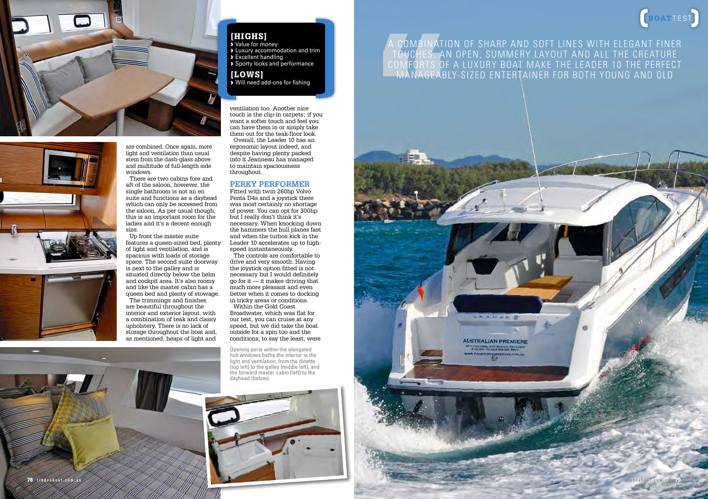

are combined. Once again, more light and ventilation than usual stem from the dash-glass above and multitude of full-length side windows. There are two cabins fore and

aft of the saloon, however, the single bathroom is not an en suite and functions as a dayhead which can only be accessed from the saloon. As per usual though, this is an important room for the ladies and it's a decent enough size.

Up front the master suite features a queen-sized bed, plenty of light and ventilation, and is spacious with loads of storage space. The second suite doorway is next to the galley and is situated directly below the helm and cockpit area. It's also roomy and like the master cabin has a queen bed and plenty of stowage. The trimmings and finishes are beautiful throughout the interior and exterior layout, with a combination of teak and classy upholstery. There is no lack of storage throughout the boat and, as mentioned, heaps of light and

# [HIGHS]

› Value for money › Luxury accommodation and trim › Excellent handling › Sporty looks and performance

### [LOWS] › Will need add-ons for fishing

ventilation too. Another nice touch is the clip-in carpets; if you want a softer touch and feel you can have them in or simply take them out for the teak-floor look. Overall, the Leader 10 has an ergonomic layout indeed, and despite having plenty packed into it Jeanneau has managed to maintain spaciousness throughout.

### **PERKY PERFORMER**

Fitted with twin 260hp Volvo Penta D4s and a joystick there was most certainly no shortage of power. You can opt for 300hp but I really don't think it's necessary. When knocking down the hammers the hull planes fast and when the turbos kick in the Leader 10 accelerates up to highspeed instantaneously.

The controls are comfortable to drive and very smooth. Having the joystick option fitted is not necessary but I would definitely go for it  $\ddot{\text{}}$  it makes driving that much more pleasant and even better when it comes to docking in tricky areas or conditions.

Within the Gold Coast Broadwater, which was flat for our test, you can cruise at any speed, but we did take the boat outside for a spin too and the conditions, to say the least, were

Opening ports within the elongated hull windows bathe the interior in the light and ventilation, from the dinette (top left) to the galley (middle left), and the forward master cabin (left) to the dayhead (below).



## A combination of sharp and soft lines with elegant finer touches, an open, summery layout and all the creature COMFORTS OF A LUXURY BOAT MAKE THE LEADER 10 THE PERFEC manageably-sized entertainer for both young and old



deaboat.com.au 7

BOATTEST